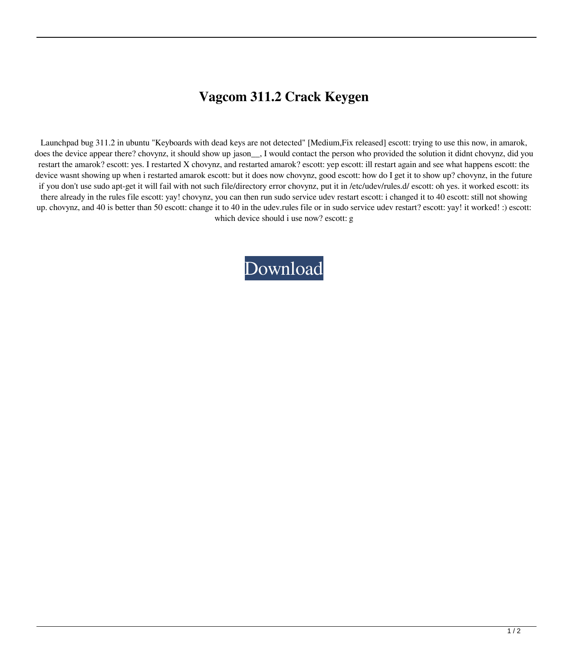## **Vagcom 311.2 Crack Keygen**

Launchpad bug 311.2 in ubuntu "Keyboards with dead keys are not detected" [Medium,Fix released] escott: trying to use this now, in amarok, does the device appear there? chovynz, it should show up jason<sub>n</sub>, I would contact the person who provided the solution it didnt chovynz, did you restart the amarok? escott: yes. I restarted X chovynz, and restarted amarok? escott: yep escott: ill restart again and see what happens escott: the device wasnt showing up when i restarted amarok escott: but it does now chovynz, good escott: how do I get it to show up? chovynz, in the future if you don't use sudo apt-get it will fail with not such file/directory error chovynz, put it in /etc/udev/rules.d/ escott: oh yes. it worked escott: its there already in the rules file escott: yay! chovynz, you can then run sudo service udev restart escott: i changed it to 40 escott: still not showing up. chovynz, and 40 is better than 50 escott: change it to 40 in the udev.rules file or in sudo service udev restart? escott: yay! it worked! :) escott: which device should i use now? escott: g